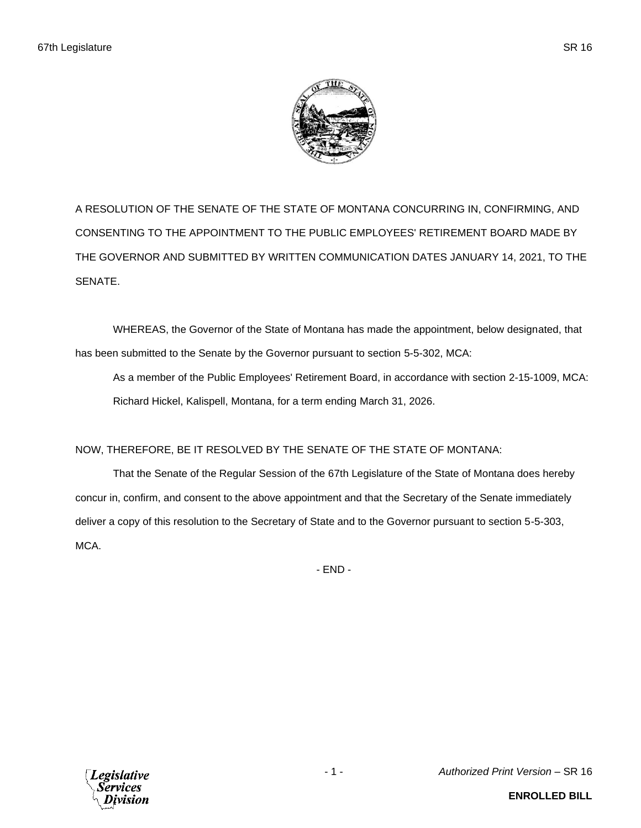

A RESOLUTION OF THE SENATE OF THE STATE OF MONTANA CONCURRING IN, CONFIRMING, AND CONSENTING TO THE APPOINTMENT TO THE PUBLIC EMPLOYEES' RETIREMENT BOARD MADE BY THE GOVERNOR AND SUBMITTED BY WRITTEN COMMUNICATION DATES JANUARY 14, 2021, TO THE SENATE.

WHEREAS, the Governor of the State of Montana has made the appointment, below designated, that has been submitted to the Senate by the Governor pursuant to section 5-5-302, MCA:

As a member of the Public Employees' Retirement Board, in accordance with section 2-15-1009, MCA: Richard Hickel, Kalispell, Montana, for a term ending March 31, 2026.

## NOW, THEREFORE, BE IT RESOLVED BY THE SENATE OF THE STATE OF MONTANA:

That the Senate of the Regular Session of the 67th Legislature of the State of Montana does hereby concur in, confirm, and consent to the above appointment and that the Secretary of the Senate immediately deliver a copy of this resolution to the Secretary of State and to the Governor pursuant to section 5-5-303, MCA.

- END -

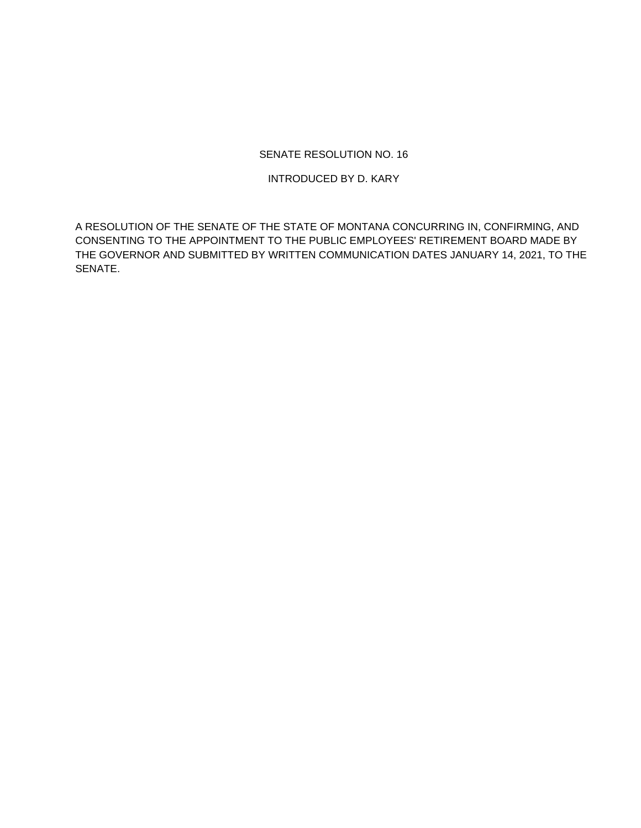## SENATE RESOLUTION NO. 16

## INTRODUCED BY D. KARY

A RESOLUTION OF THE SENATE OF THE STATE OF MONTANA CONCURRING IN, CONFIRMING, AND CONSENTING TO THE APPOINTMENT TO THE PUBLIC EMPLOYEES' RETIREMENT BOARD MADE BY THE GOVERNOR AND SUBMITTED BY WRITTEN COMMUNICATION DATES JANUARY 14, 2021, TO THE SENATE.